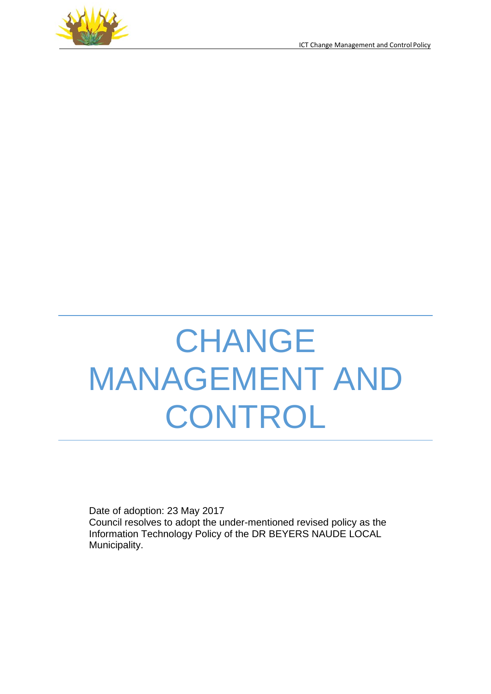



# **CHANGE** MANAGEMENT AND CONTROL

Date of adoption: 23 May 2017 Council resolves to adopt the under-mentioned revised policy as the Information Technology Policy of the DR BEYERS NAUDE LOCAL Municipality.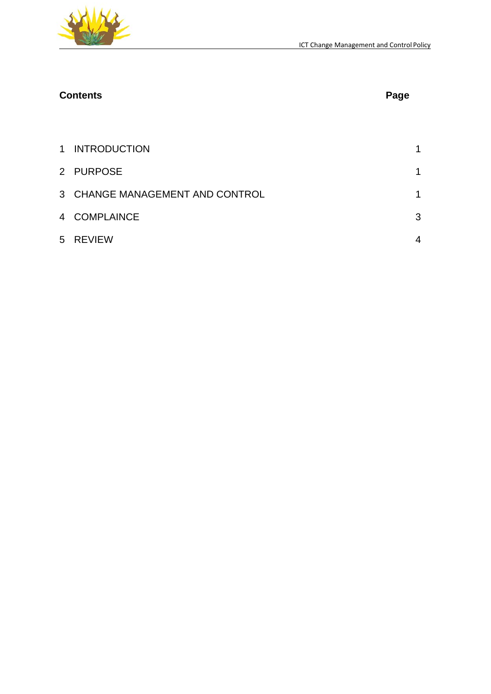

# **Contents Page**

| 1 INTRODUCTION                  | $\mathbf 1$    |
|---------------------------------|----------------|
| 2 PURPOSE                       | $\mathbf 1$    |
| 3 CHANGE MANAGEMENT AND CONTROL | $\mathbf 1$    |
| 4 COMPLAINCE                    | 3              |
| 5 REVIEW                        | $\overline{4}$ |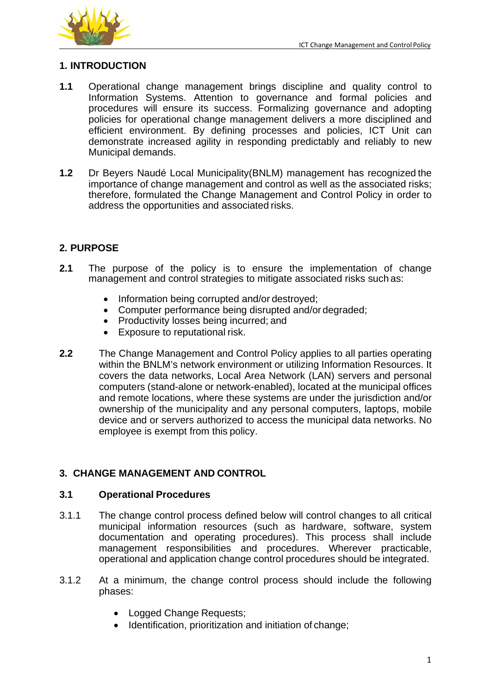

### <span id="page-2-0"></span>**1. INTRODUCTION**

- **1.1** Operational change management brings discipline and quality control to Information Systems. Attention to governance and formal policies and procedures will ensure its success. Formalizing governance and adopting policies for operational change management delivers a more disciplined and efficient environment. By defining processes and policies, ICT Unit can demonstrate increased agility in responding predictably and reliably to new Municipal demands.
- **1.2** Dr Beyers Naudé Local Municipality(BNLM) management has recognized the importance of change management and control as well as the associated risks; therefore, formulated the Change Management and Control Policy in order to address the opportunities and associated risks.

# <span id="page-2-1"></span>**2. PURPOSE**

- **2.1** The purpose of the policy is to ensure the implementation of change management and control strategies to mitigate associated risks such as:
	- Information being corrupted and/or destroyed;
	- Computer performance being disrupted and/or degraded;
	- Productivity losses being incurred; and
	- Exposure to reputational risk.
- **2.2** The Change Management and Control Policy applies to all parties operating within the BNLM's network environment or utilizing Information Resources. It covers the data networks, Local Area Network (LAN) servers and personal computers (stand-alone or network-enabled), located at the municipal offices and remote locations, where these systems are under the jurisdiction and/or ownership of the municipality and any personal computers, laptops, mobile device and or servers authorized to access the municipal data networks. No employee is exempt from this policy.

# <span id="page-2-2"></span>**3. CHANGE MANAGEMENT AND CONTROL**

#### **3.1 Operational Procedures**

- 3.1.1 The change control process defined below will control changes to all critical municipal information resources (such as hardware, software, system documentation and operating procedures). This process shall include management responsibilities and procedures. Wherever practicable, operational and application change control procedures should be integrated.
- 3.1.2 At a minimum, the change control process should include the following phases:
	- Logged Change Requests:
	- Identification, prioritization and initiation of change;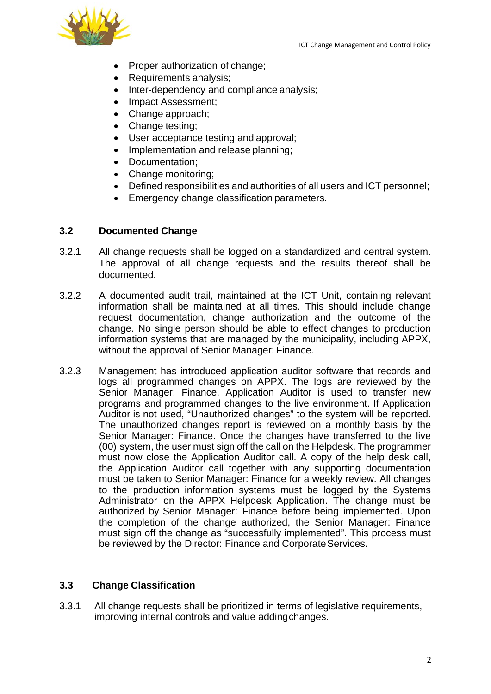

- Proper authorization of change;
- Requirements analysis;
- Inter-dependency and compliance analysis;
- Impact Assessment;
- Change approach;
- Change testing:
- User acceptance testing and approval;
- Implementation and release planning:
- Documentation;
- Change monitoring;
- Defined responsibilities and authorities of all users and ICT personnel;
- Emergency change classification parameters.

### **3.2 Documented Change**

- 3.2.1 All change requests shall be logged on a standardized and central system. The approval of all change requests and the results thereof shall be documented.
- 3.2.2 A documented audit trail, maintained at the ICT Unit, containing relevant information shall be maintained at all times. This should include change request documentation, change authorization and the outcome of the change. No single person should be able to effect changes to production information systems that are managed by the municipality, including APPX, without the approval of Senior Manager: Finance.
- 3.2.3 Management has introduced application auditor software that records and logs all programmed changes on APPX. The logs are reviewed by the Senior Manager: Finance. Application Auditor is used to transfer new programs and programmed changes to the live environment. If Application Auditor is not used, "Unauthorized changes" to the system will be reported. The unauthorized changes report is reviewed on a monthly basis by the Senior Manager: Finance. Once the changes have transferred to the live (00) system, the user must sign off the call on the Helpdesk. The programmer must now close the Application Auditor call. A copy of the help desk call, the Application Auditor call together with any supporting documentation must be taken to Senior Manager: Finance for a weekly review. All changes to the production information systems must be logged by the Systems Administrator on the APPX Helpdesk Application. The change must be authorized by Senior Manager: Finance before being implemented. Upon the completion of the change authorized, the Senior Manager: Finance must sign off the change as "successfully implemented". This process must be reviewed by the Director: Finance and Corporate Services.

#### **3.3 Change Classification**

3.3.1 All change requests shall be prioritized in terms of legislative requirements, improving internal controls and value addingchanges.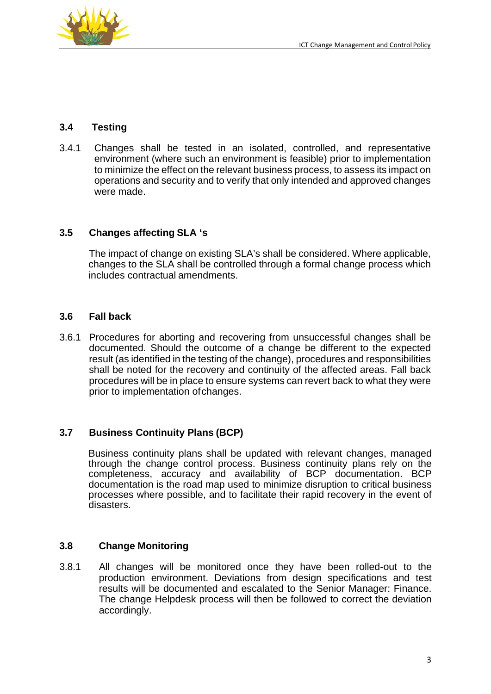

#### **3.4 Testing**

3.4.1 Changes shall be tested in an isolated, controlled, and representative environment (where such an environment is feasible) prior to implementation to minimize the effect on the relevant business process, to assess its impact on operations and security and to verify that only intended and approved changes were made.

#### **3.5 Changes affecting SLA 's**

The impact of change on existing SLA's shall be considered. Where applicable, changes to the SLA shall be controlled through a formal change process which includes contractual amendments.

#### **3.6 Fall back**

3.6.1 Procedures for aborting and recovering from unsuccessful changes shall be documented. Should the outcome of a change be different to the expected result (as identified in the testing of the change), procedures and responsibilities shall be noted for the recovery and continuity of the affected areas. Fall back procedures will be in place to ensure systems can revert back to what they were prior to implementation ofchanges.

#### **3.7 Business Continuity Plans (BCP)**

Business continuity plans shall be updated with relevant changes, managed through the change control process. Business continuity plans rely on the completeness, accuracy and availability of BCP documentation. BCP documentation is the road map used to minimize disruption to critical business processes where possible, and to facilitate their rapid recovery in the event of disasters.

#### **3.8 Change Monitoring**

3.8.1 All changes will be monitored once they have been rolled-out to the production environment. Deviations from design specifications and test results will be documented and escalated to the Senior Manager: Finance. The change Helpdesk process will then be followed to correct the deviation accordingly.